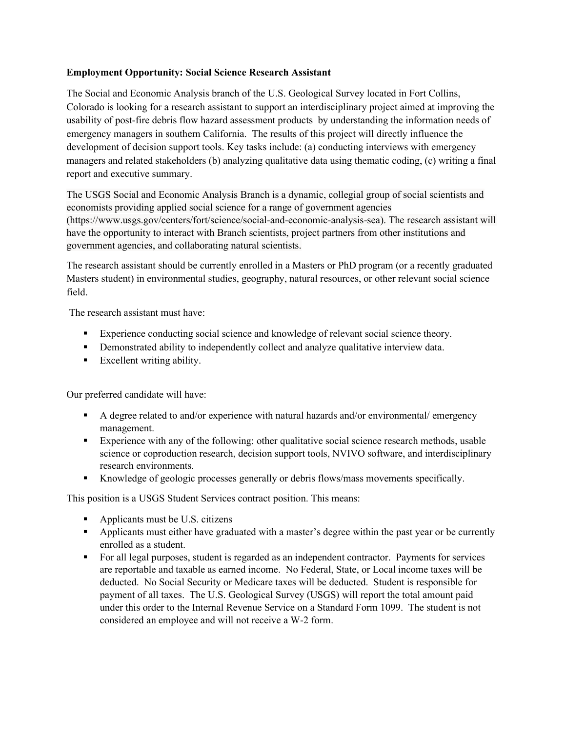## Employment Opportunity: Social Science Research Assistant

The Social and Economic Analysis branch of the U.S. Geological Survey located in Fort Collins, Colorado is looking for a research assistant to support an interdisciplinary project aimed at improving the usability of post-fire debris flow hazard assessment products by understanding the information needs of emergency managers in southern California. The results of this project will directly influence the development of decision support tools. Key tasks include: (a) conducting interviews with emergency managers and related stakeholders (b) analyzing qualitative data using thematic coding, (c) writing a final report and executive summary.

The USGS Social and Economic Analysis Branch is a dynamic, collegial group of social scientists and economists providing applied social science for a range of government agencies (https://www.usgs.gov/centers/fort/science/social-and-economic-analysis-sea). The research assistant will have the opportunity to interact with Branch scientists, project partners from other institutions and government agencies, and collaborating natural scientists.

The research assistant should be currently enrolled in a Masters or PhD program (or a recently graduated Masters student) in environmental studies, geography, natural resources, or other relevant social science field.

The research assistant must have:

- Experience conducting social science and knowledge of relevant social science theory.
- Demonstrated ability to independently collect and analyze qualitative interview data.
- Excellent writing ability.

Our preferred candidate will have:

- A degree related to and/or experience with natural hazards and/or environmental/ emergency management.
- Experience with any of the following: other qualitative social science research methods, usable science or coproduction research, decision support tools, NVIVO software, and interdisciplinary research environments.
- Knowledge of geologic processes generally or debris flows/mass movements specifically.

This position is a USGS Student Services contract position. This means:

- Applicants must be U.S. citizens
- Applicants must either have graduated with a master's degree within the past year or be currently enrolled as a student.
- For all legal purposes, student is regarded as an independent contractor. Payments for services are reportable and taxable as earned income. No Federal, State, or Local income taxes will be deducted. No Social Security or Medicare taxes will be deducted. Student is responsible for payment of all taxes. The U.S. Geological Survey (USGS) will report the total amount paid under this order to the Internal Revenue Service on a Standard Form 1099. The student is not considered an employee and will not receive a W-2 form.